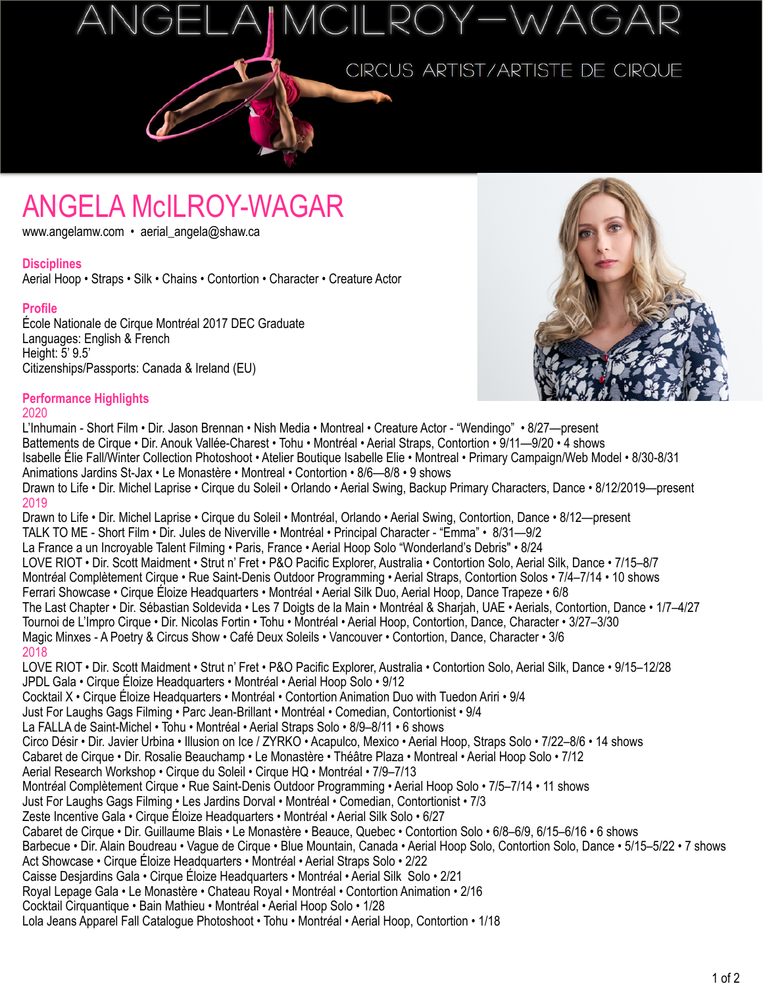ANGELA McILROY-WAGAR

## CIRCUS ARTIST/ARTISTE DE CIRQUE

# ANGELA McILROY-WAGAR www.angelamw.com • aerial\_angela@shaw.ca

#### **Disciplines**

Aerial Hoop • Straps • Silk • Chains • Contortion • Character • Creature Actor

#### **Profile**

École Nationale de Cirque Montr*é*al 2017 DEC Graduate Languages: English & French Height: 5' 9.5' Citizenships/Passports: Canada & Ireland (EU)



### **Performance Highlights**

#### 2020

L'Inhumain - Short Film • Dir. Jason Brennan • Nish Media • Montreal • Creature Actor - "Wendingo" • 8/27—present Battements de Cirque • Dir. Anouk Vallée-Charest • Tohu • Montréal • Aerial Straps, Contortion • 9/11—9/20 • 4 shows Isabelle Élie Fall/Winter Collection Photoshoot • Atelier Boutique Isabelle Elie • Montreal • Primary Campaign/Web Model • 8/30-8/31 Animations Jardins St-Jax • Le Monastère • Montreal • Contortion • 8/6—8/8 • 9 shows Drawn to Life • Dir. Michel Laprise • Cirque du Soleil • Orlando • Aerial Swing, Backup Primary Characters, Dance • 8/12/2019—present 2019 Drawn to Life • Dir. Michel Laprise • Cirque du Soleil • Montr*é*al, Orlando • Aerial Swing, Contortion, Dance • 8/12—present TALK TO ME - Short Film • Dir. Jules de Niverville • Montréal • Principal Character - "Emma" • 8/31—9/2 La France a un Incroyable Talent Filming • Paris, France • Aerial Hoop Solo "Wonderland's Debris" • 8/24 LOVE RIOT • Dir. Scott Maidment • Strut n' Fret • P&O Pacific Explorer, Australia • Contortion Solo, Aerial Silk, Dance • 7/15–8/7 Montr*é*al Complètement Cirque • Rue Saint-Denis Outdoor Programming • Aerial Straps, Contortion Solos • 7/4–7/14 • 10 shows Ferrari Showcase • Cirque Éloize Headquarters • Montr*é*al • Aerial Silk Duo, Aerial Hoop, Dance Trapeze • 6/8 The Last Chapter • Dir. Sébastian Soldevida • Les 7 Doigts de la Main • Montréal & Sharjah, UAE • Aerials, Contortion, Dance • 1/7–4/27 Tournoi de L'Impro Cirque • Dir. Nicolas Fortin • Tohu • Montr*é*al • Aerial Hoop, Contortion, Dance, Character • 3/27–3/30 Magic Minxes - A Poetry & Circus Show • Café Deux Soleils • Vancouver • Contortion, Dance, Character • 3/6 2018 LOVE RIOT • Dir. Scott Maidment • Strut n' Fret • P&O Pacific Explorer, Australia • Contortion Solo, Aerial Silk, Dance • 9/15–12/28 JPDL Gala • Cirque Éloize Headquarters • Montr*é*al • Aerial Hoop Solo • 9/12 Cocktail X • Cirque Éloize Headquarters • Montr*é*al • Contortion Animation Duo with Tuedon Ariri • 9/4 Just For Laughs Gags Filming • Parc Jean-Brillant • Montréal • Comedian, Contortionist • 9/4 La FALLA de Saint-Michel • Tohu • Montréal • Aerial Straps Solo • 8/9–8/11 • 6 shows Circo Désir • Dir. Javier Urbina • Illusion on Ice / ZYRKO • Acapulco, Mexico • Aerial Hoop, Straps Solo • 7/22–8/6 • 14 shows Cabaret de Cirque • Dir. Rosalie Beauchamp • Le Monastère • Théâtre Plaza • Montreal • Aerial Hoop Solo • 7/12 Aerial Research Workshop • Cirque du Soleil • Cirque HQ • Montr*é*al • 7/9–7/13 Montr*é*al Complètement Cirque • Rue Saint-Denis Outdoor Programming • Aerial Hoop Solo • 7/5–7/14 • 11 shows Just For Laughs Gags Filming • Les Jardins Dorval • Montréal • Comedian, Contortionist • 7/3 Zeste Incentive Gala • Cirque Éloize Headquarters • Montr*é*al • Aerial Silk Solo • 6/27 Cabaret de Cirque • Dir. Guillaume Blais • Le Monastère • Beauce, Quebec • Contortion Solo • 6/8–6/9, 6/15–6/16 • 6 shows Barbecue • Dir. Alain Boudreau • Vague de Cirque • Blue Mountain, Canada • Aerial Hoop Solo, Contortion Solo, Dance • 5/15–5/22 • 7 shows Act Showcase • Cirque Éloize Headquarters • Montr*é*al • Aerial Straps Solo • 2/22 Caisse Desjardins Gala • Cirque Éloize Headquarters • Montr*é*al • Aerial Silk Solo • 2/21 Royal Lepage Gala • Le Monastère • Chateau Royal • Montr*é*al • Contortion Animation • 2/16 Cocktail Cirquantique • Bain Mathieu • Montr*é*al • Aerial Hoop Solo • 1/28 Lola Jeans Apparel Fall Catalogue Photoshoot • Tohu • Montr*é*al • Aerial Hoop, Contortion • 1/18